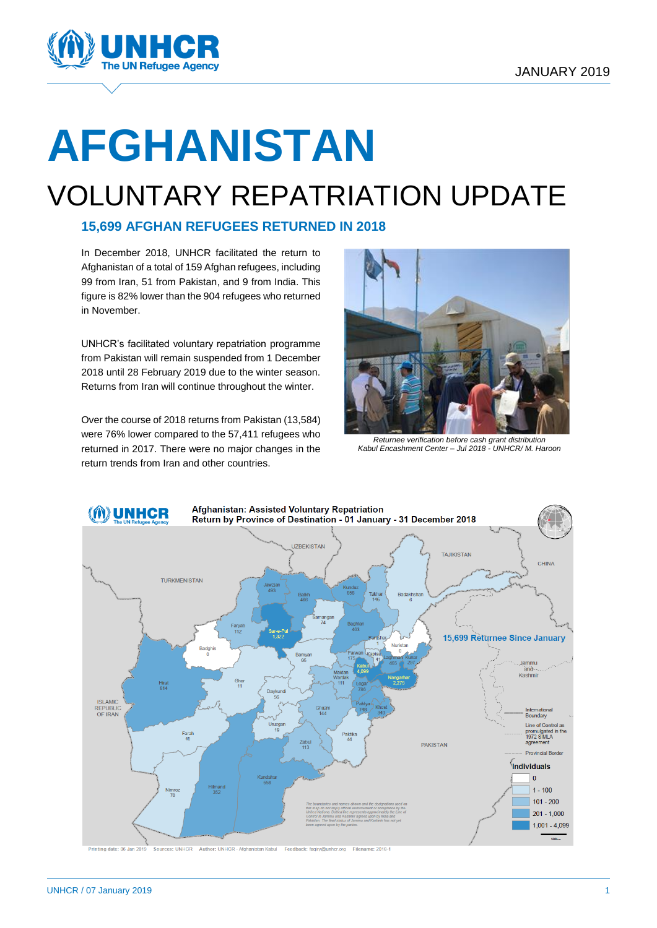

# **AFGHANISTAN**

# VOLUNTARY REPATRIATION UPDATE

#### **15,699 AFGHAN REFUGEES RETURNED IN 2018**

In December 2018, UNHCR facilitated the return to Afghanistan of a total of 159 Afghan refugees, including 99 from Iran, 51 from Pakistan, and 9 from India. This figure is 82% lower than the 904 refugees who returned in November.

UNHCR's facilitated voluntary repatriation programme from Pakistan will remain suspended from 1 December 2018 until 28 February 2019 due to the winter season. Returns from Iran will continue throughout the winter.

Over the course of 2018 returns from Pakistan (13,584) were 76% lower compared to the 57,411 refugees who returned in 2017. There were no major changes in the return trends from Iran and other countries.



*Returnee verification before cash grant distribution Kabul Encashment Center – Jul 2018 - UNHCR/ M. Haroon*

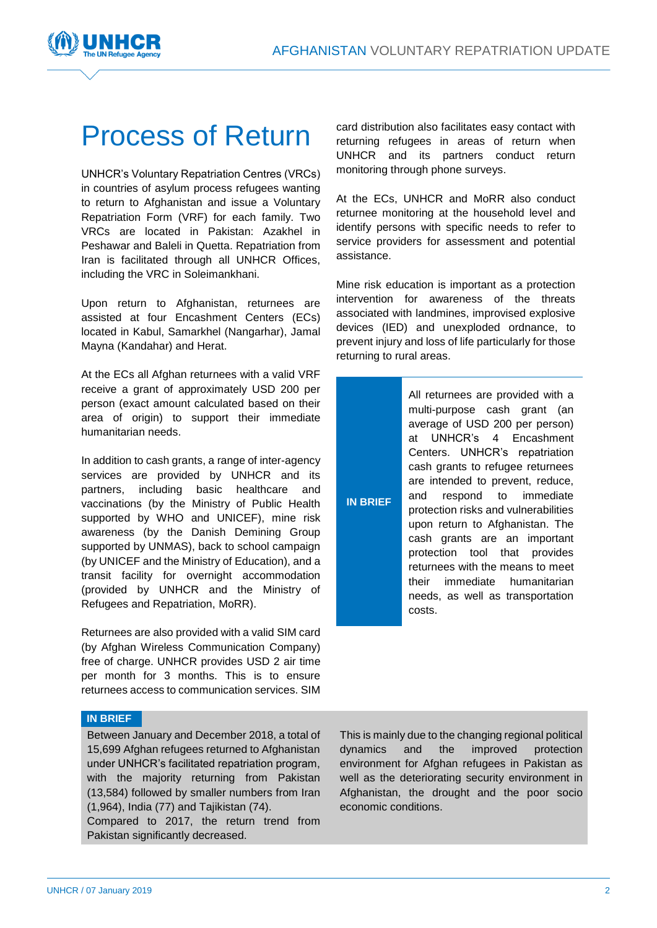

# Process of Return

UNHCR's Voluntary Repatriation Centres (VRCs) in countries of asylum process refugees wanting to return to Afghanistan and issue a Voluntary Repatriation Form (VRF) for each family. Two VRCs are located in Pakistan: Azakhel in Peshawar and Baleli in Quetta. Repatriation from Iran is facilitated through all UNHCR Offices, including the VRC in Soleimankhani.

Upon return to Afghanistan, returnees are assisted at four Encashment Centers (ECs) located in Kabul, Samarkhel (Nangarhar), Jamal Mayna (Kandahar) and Herat.

At the ECs all Afghan returnees with a valid VRF receive a grant of approximately USD 200 per person (exact amount calculated based on their area of origin) to support their immediate humanitarian needs.

In addition to cash grants, a range of inter-agency services are provided by UNHCR and its partners, including basic healthcare and vaccinations (by the Ministry of Public Health supported by WHO and UNICEF), mine risk awareness (by the Danish Demining Group supported by UNMAS), back to school campaign (by UNICEF and the Ministry of Education), and a transit facility for overnight accommodation (provided by UNHCR and the Ministry of Refugees and Repatriation, MoRR).

Returnees are also provided with a valid SIM card (by Afghan Wireless Communication Company) free of charge. UNHCR provides USD 2 air time per month for 3 months. This is to ensure returnees access to communication services. SIM

**IN BRIEF**

Between January and December 2018, a total of 15,699 Afghan refugees returned to Afghanistan under UNHCR's facilitated repatriation program, with the majority returning from Pakistan (13,584) followed by smaller numbers from Iran (1,964), India (77) and Tajikistan (74).

Compared to 2017, the return trend from Pakistan significantly decreased.

card distribution also facilitates easy contact with returning refugees in areas of return when UNHCR and its partners conduct return monitoring through phone surveys.

At the ECs, UNHCR and MoRR also conduct returnee monitoring at the household level and identify persons with specific needs to refer to service providers for assessment and potential assistance.

Mine risk education is important as a protection intervention for awareness of the threats associated with landmines, improvised explosive devices (IED) and unexploded ordnance, to prevent injury and loss of life particularly for those returning to rural areas.

**IN BRIEF** All returnees are provided with a multi-purpose cash grant (an average of USD 200 per person) at UNHCR's 4 Encashment Centers. UNHCR's repatriation cash grants to refugee returnees are intended to prevent, reduce, and respond to immediate protection risks and vulnerabilities upon return to Afghanistan. The cash grants are an important protection tool that provides returnees with the means to meet their immediate humanitarian needs, as well as transportation costs.

This is mainly due to the changing regional political dynamics and the improved protection environment for Afghan refugees in Pakistan as well as the deteriorating security environment in Afghanistan, the drought and the poor socio economic conditions.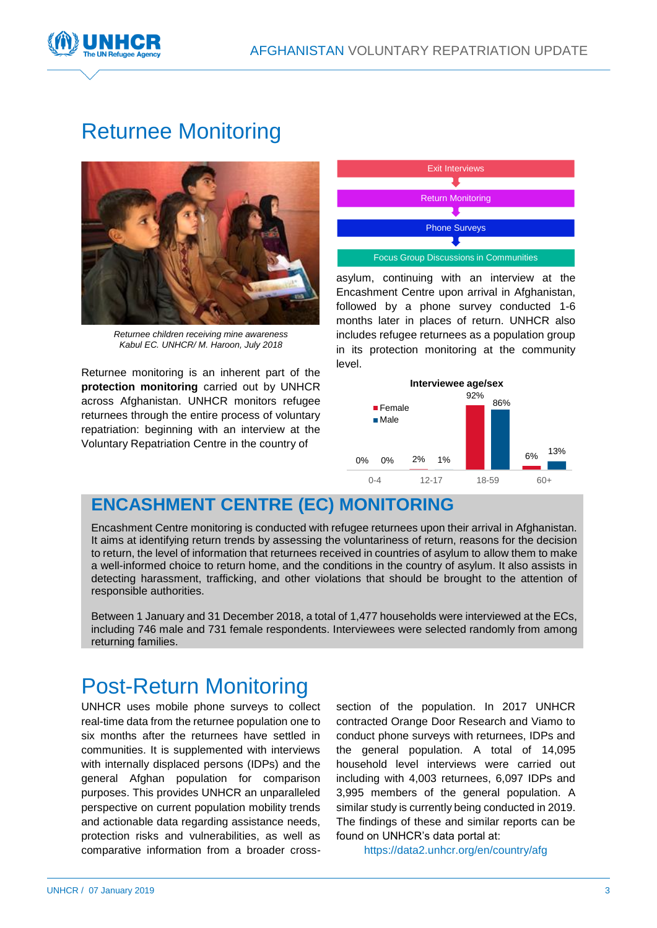



# Returnee Monitoring



*Returnee children receiving mine awareness Kabul EC. UNHCR/ M. Haroon, July 2018*

Returnee monitoring is an inherent part of the **protection monitoring** carried out by UNHCR across Afghanistan. UNHCR monitors refugee returnees through the entire process of voluntary repatriation: beginning with an interview at the Voluntary Repatriation Centre in the country of



asylum, continuing with an interview at the Encashment Centre upon arrival in Afghanistan, followed by a phone survey conducted 1-6 months later in places of return. UNHCR also includes refugee returnees as a population group in its protection monitoring at the community level.



### **ENCASHMENT CENTRE (EC) MONITORING**

Encashment Centre monitoring is conducted with refugee returnees upon their arrival in Afghanistan. It aims at identifying return trends by assessing the voluntariness of return, reasons for the decision to return, the level of information that returnees received in countries of asylum to allow them to make a well-informed choice to return home, and the conditions in the country of asylum. It also assists in detecting harassment, trafficking, and other violations that should be brought to the attention of responsible authorities.

Between 1 January and 31 December 2018, a total of 1,477 households were interviewed at the ECs, including 746 male and 731 female respondents. Interviewees were selected randomly from among returning families.

# Post-Return Monitoring

UNHCR uses mobile phone surveys to collect real-time data from the returnee population one to six months after the returnees have settled in communities. It is supplemented with interviews with internally displaced persons (IDPs) and the general Afghan population for comparison purposes. This provides UNHCR an unparalleled perspective on current population mobility trends and actionable data regarding assistance needs, protection risks and vulnerabilities, as well as comparative information from a broader crosssection of the population. In 2017 UNHCR contracted Orange Door Research and Viamo to conduct phone surveys with returnees, IDPs and the general population. A total of 14,095 household level interviews were carried out including with 4,003 returnees, 6,097 IDPs and 3,995 members of the general population. A similar study is currently being conducted in 2019. The findings of these and similar reports can be found on UNHCR's data portal at:

<https://data2.unhcr.org/en/country/afg>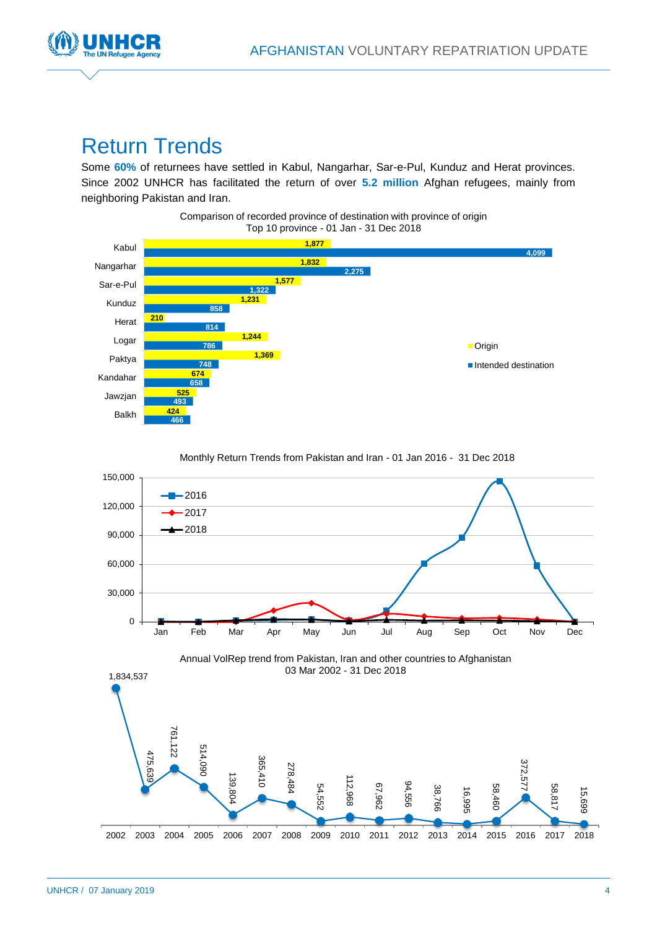

# Return Trends

Some **60%** of returnees have settled in Kabul, Nangarhar, Sar-e-Pul, Kunduz and Herat provinces. Since 2002 UNHCR has facilitated the return of over **5.2 million** Afghan refugees, mainly from neighboring Pakistan and Iran.





Monthly Return Trends from Pakistan and Iran - 01 Jan 2016 - 31 Dec 2018

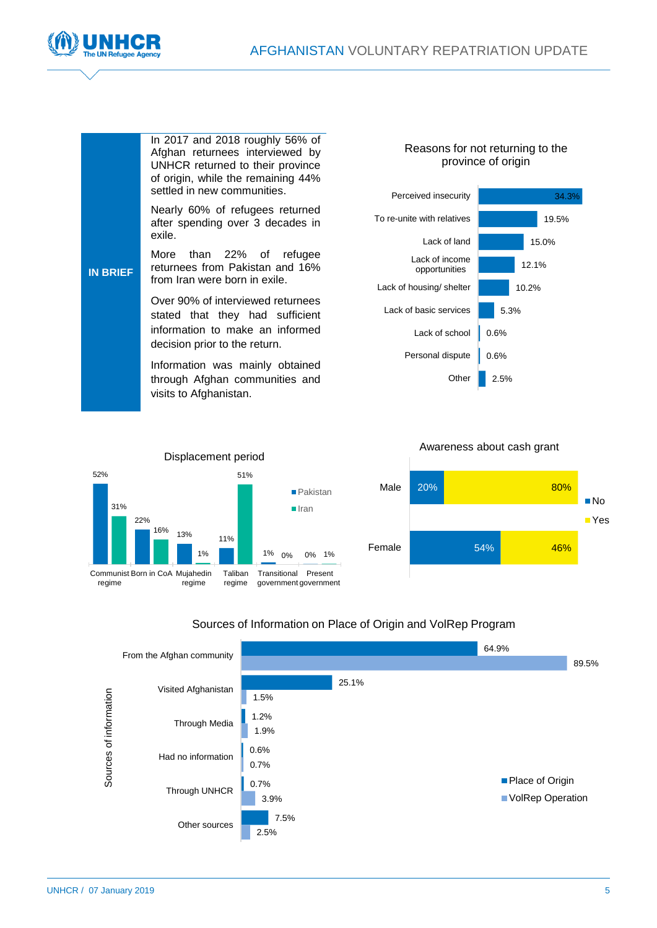



| <b>IN BRIEF</b> | In 2017 and 2018 roughly 56% of<br>Afghan returnees interviewed by<br>UNHCR returned to their province<br>of origin, while the remaining 44% | Reasons for not returning to<br>province of origin |       |
|-----------------|----------------------------------------------------------------------------------------------------------------------------------------------|----------------------------------------------------|-------|
|                 | settled in new communities.                                                                                                                  | Perceived insecurity                               |       |
|                 | Nearly 60% of refugees returned<br>after spending over 3 decades in                                                                          | To re-unite with relatives                         | 1     |
|                 | exile.                                                                                                                                       | Lack of land                                       | 15.0  |
|                 | than 22% of<br>More<br>refugee<br>returnees from Pakistan and 16%<br>from Iran were born in exile.                                           | Lack of income<br>opportunities                    | 12.1% |
|                 |                                                                                                                                              | Lack of housing/ shelter                           | 10.2% |
|                 | Over 90% of interviewed returnees<br>stated that they had sufficient                                                                         | Lack of basic services                             | 5.3%  |
|                 | information to make an informed                                                                                                              | Lack of school                                     | 0.6%  |
|                 | decision prior to the return.<br>Information was mainly obtained<br>through Afghan communities and<br>visits to Afghanistan.                 | Personal dispute                                   | 0.6%  |
|                 |                                                                                                                                              | Other                                              | 2.5%  |



# Reasons for not returning to the



#### Awareness about cash grant



#### Sources of Information on Place of Origin and VolRep Program

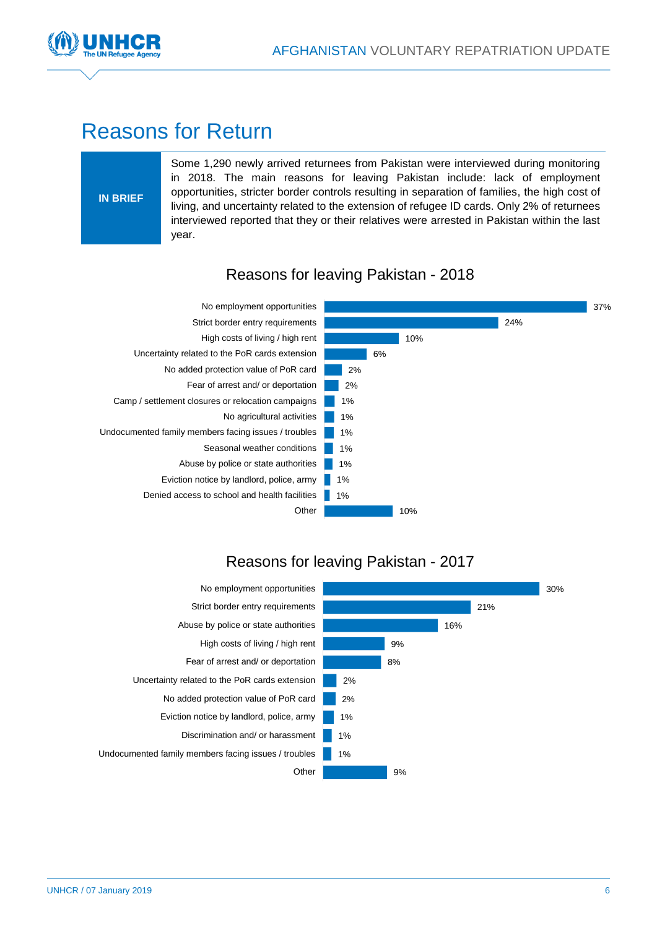



## Reasons for Return

#### **IN BRIEF**

Some 1,290 newly arrived returnees from Pakistan were interviewed during monitoring in 2018. The main reasons for leaving Pakistan include: lack of employment opportunities, stricter border controls resulting in separation of families, the high cost of living, and uncertainty related to the extension of refugee ID cards. Only 2% of returnees interviewed reported that they or their relatives were arrested in Pakistan within the last year.



#### Reasons for leaving Pakistan - 2018

#### Reasons for leaving Pakistan - 2017

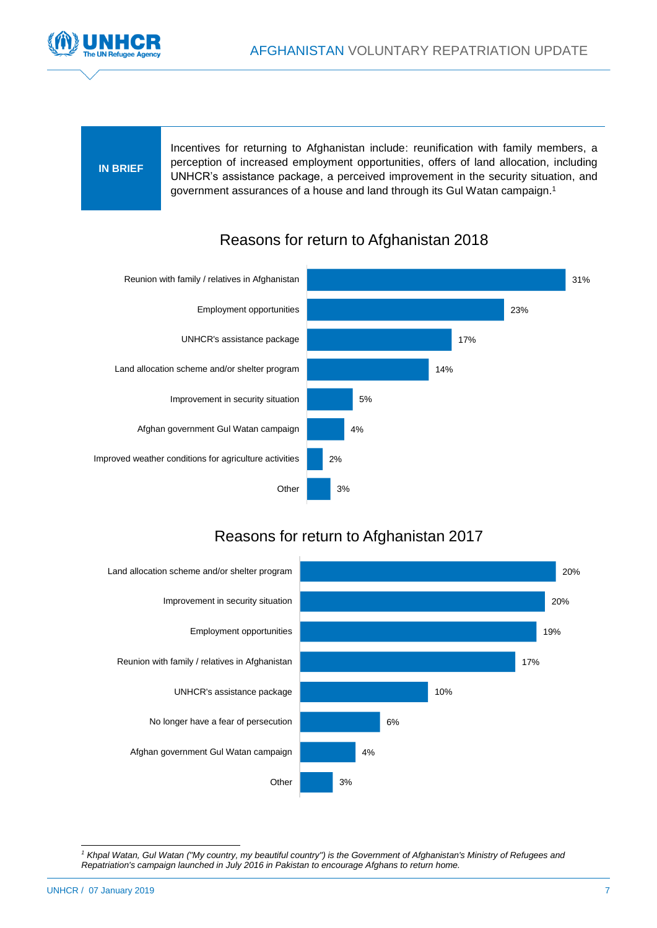

#### **IN BRIEF**

Incentives for returning to Afghanistan include: reunification with family members, a perception of increased employment opportunities, offers of land allocation, including UNHCR's assistance package, a perceived improvement in the security situation, and government assurances of a house and land through its Gul Watan campaign. 1



#### Reasons for return to Afghanistan 2018

#### Reasons for return to Afghanistan 2017



l *<sup>1</sup> Khpal Watan, Gul Watan ("My country, my beautiful country") is the Government of Afghanistan's Ministry of Refugees and Repatriation's campaign launched in July 2016 in Pakistan to encourage Afghans to return home.*